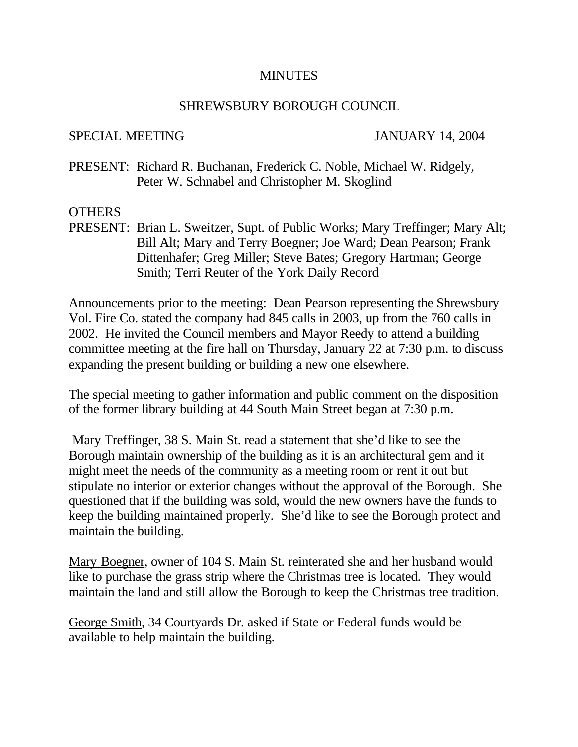## **MINUTES**

## SHREWSBURY BOROUGH COUNCIL

## SPECIAL MEETING JANUARY 14, 2004

PRESENT: Richard R. Buchanan, Frederick C. Noble, Michael W. Ridgely, Peter W. Schnabel and Christopher M. Skoglind

## OTHERS

PRESENT: Brian L. Sweitzer, Supt. of Public Works; Mary Treffinger; Mary Alt; Bill Alt; Mary and Terry Boegner; Joe Ward; Dean Pearson; Frank Dittenhafer; Greg Miller; Steve Bates; Gregory Hartman; George Smith; Terri Reuter of the York Daily Record

Announcements prior to the meeting: Dean Pearson representing the Shrewsbury Vol. Fire Co. stated the company had 845 calls in 2003, up from the 760 calls in 2002. He invited the Council members and Mayor Reedy to attend a building committee meeting at the fire hall on Thursday, January 22 at 7:30 p.m. to discuss expanding the present building or building a new one elsewhere.

The special meeting to gather information and public comment on the disposition of the former library building at 44 South Main Street began at 7:30 p.m.

Mary Treffinger, 38 S. Main St. read a statement that she'd like to see the Borough maintain ownership of the building as it is an architectural gem and it might meet the needs of the community as a meeting room or rent it out but stipulate no interior or exterior changes without the approval of the Borough. She questioned that if the building was sold, would the new owners have the funds to keep the building maintained properly. She'd like to see the Borough protect and maintain the building.

Mary Boegner, owner of 104 S. Main St. reinterated she and her husband would like to purchase the grass strip where the Christmas tree is located. They would maintain the land and still allow the Borough to keep the Christmas tree tradition.

George Smith, 34 Courtyards Dr. asked if State or Federal funds would be available to help maintain the building.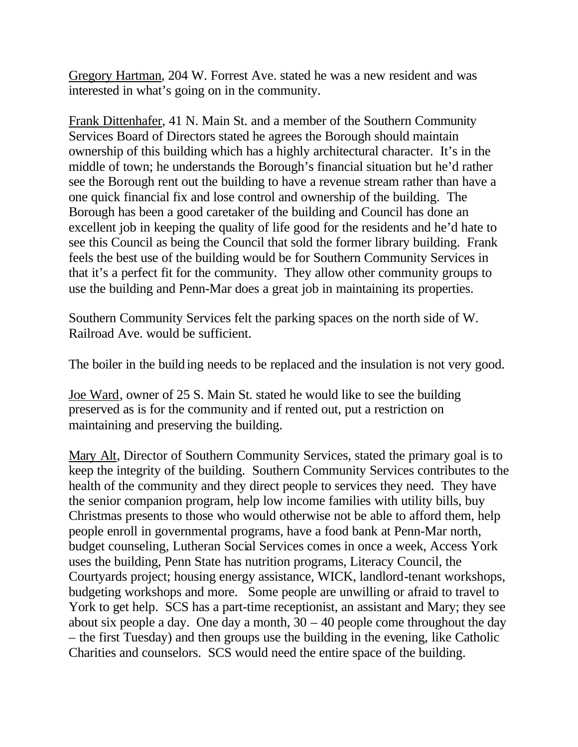Gregory Hartman, 204 W. Forrest Ave. stated he was a new resident and was interested in what's going on in the community.

Frank Dittenhafer, 41 N. Main St. and a member of the Southern Community Services Board of Directors stated he agrees the Borough should maintain ownership of this building which has a highly architectural character. It's in the middle of town; he understands the Borough's financial situation but he'd rather see the Borough rent out the building to have a revenue stream rather than have a one quick financial fix and lose control and ownership of the building. The Borough has been a good caretaker of the building and Council has done an excellent job in keeping the quality of life good for the residents and he'd hate to see this Council as being the Council that sold the former library building. Frank feels the best use of the building would be for Southern Community Services in that it's a perfect fit for the community. They allow other community groups to use the building and Penn-Mar does a great job in maintaining its properties.

Southern Community Services felt the parking spaces on the north side of W. Railroad Ave. would be sufficient.

The boiler in the build ing needs to be replaced and the insulation is not very good.

Joe Ward, owner of 25 S. Main St. stated he would like to see the building preserved as is for the community and if rented out, put a restriction on maintaining and preserving the building.

Mary Alt, Director of Southern Community Services, stated the primary goal is to keep the integrity of the building. Southern Community Services contributes to the health of the community and they direct people to services they need. They have the senior companion program, help low income families with utility bills, buy Christmas presents to those who would otherwise not be able to afford them, help people enroll in governmental programs, have a food bank at Penn-Mar north, budget counseling, Lutheran Social Services comes in once a week, Access York uses the building, Penn State has nutrition programs, Literacy Council, the Courtyards project; housing energy assistance, WICK, landlord-tenant workshops, budgeting workshops and more. Some people are unwilling or afraid to travel to York to get help. SCS has a part-time receptionist, an assistant and Mary; they see about six people a day. One day a month,  $30 - 40$  people come throughout the day – the first Tuesday) and then groups use the building in the evening, like Catholic Charities and counselors. SCS would need the entire space of the building.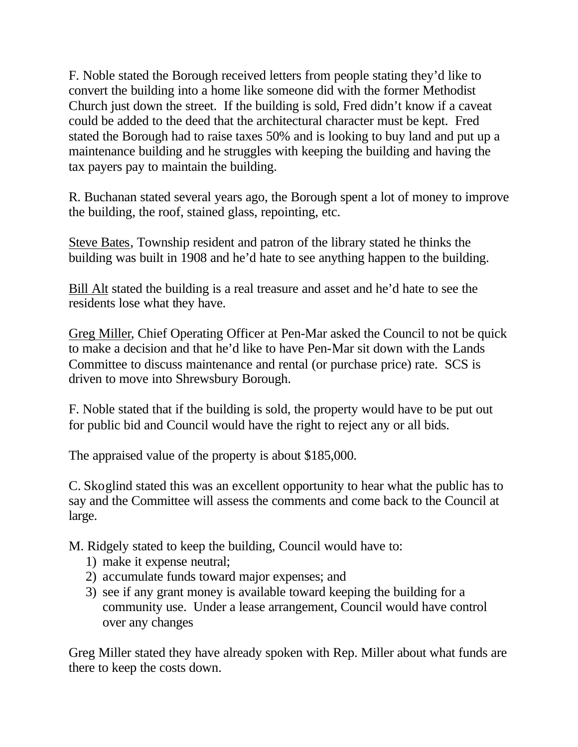F. Noble stated the Borough received letters from people stating they'd like to convert the building into a home like someone did with the former Methodist Church just down the street. If the building is sold, Fred didn't know if a caveat could be added to the deed that the architectural character must be kept. Fred stated the Borough had to raise taxes 50% and is looking to buy land and put up a maintenance building and he struggles with keeping the building and having the tax payers pay to maintain the building.

R. Buchanan stated several years ago, the Borough spent a lot of money to improve the building, the roof, stained glass, repointing, etc.

Steve Bates, Township resident and patron of the library stated he thinks the building was built in 1908 and he'd hate to see anything happen to the building.

Bill Alt stated the building is a real treasure and asset and he'd hate to see the residents lose what they have.

Greg Miller, Chief Operating Officer at Pen-Mar asked the Council to not be quick to make a decision and that he'd like to have Pen-Mar sit down with the Lands Committee to discuss maintenance and rental (or purchase price) rate. SCS is driven to move into Shrewsbury Borough.

F. Noble stated that if the building is sold, the property would have to be put out for public bid and Council would have the right to reject any or all bids.

The appraised value of the property is about \$185,000.

C. Skoglind stated this was an excellent opportunity to hear what the public has to say and the Committee will assess the comments and come back to the Council at large.

M. Ridgely stated to keep the building, Council would have to:

- 1) make it expense neutral;
- 2) accumulate funds toward major expenses; and
- 3) see if any grant money is available toward keeping the building for a community use. Under a lease arrangement, Council would have control over any changes

Greg Miller stated they have already spoken with Rep. Miller about what funds are there to keep the costs down.